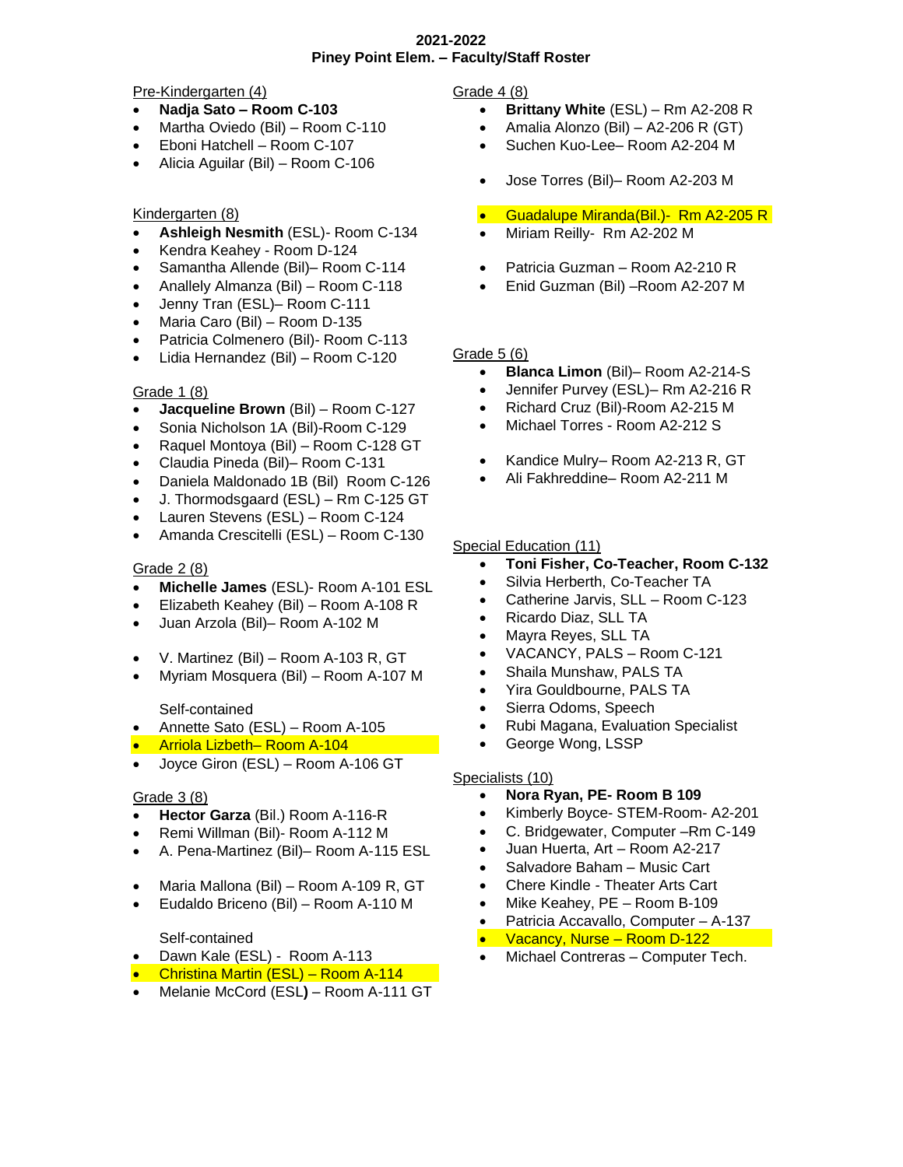#### **2021-2022 Piney Point Elem. – Faculty/Staff Roster**

#### Pre-Kindergarten (4)

- **Nadja Sato – Room C-103**
- Martha Oviedo (Bil) Room C-110
- Eboni Hatchell Room C-107
- Alicia Aguilar (Bil) Room C-106

# Kindergarten (8)

- **Ashleigh Nesmith** (ESL)- Room C-134
- Kendra Keahey Room D-124
- Samantha Allende (Bil)– Room C-114
- Anallely Almanza (Bil) Room C-118
- Jenny Tran (ESL)– Room C-111
- Maria Caro (Bil) Room D-135
- Patricia Colmenero (Bil)- Room C-113
- Lidia Hernandez (Bil) Room C-120

### Grade 1 (8)

- **Jacqueline Brown** (Bil) Room C-127
- Sonia Nicholson 1A (Bil)-Room C-129
- Raquel Montoya (Bil) Room C-128 GT
- Claudia Pineda (Bil)– Room C-131
- Daniela Maldonado 1B (Bil) Room C-126
- J. Thormodsgaard (ESL) Rm C-125 GT
- Lauren Stevens (ESL) Room C-124
- Amanda Crescitelli (ESL) Room C-130

### Grade 2 (8)

- **Michelle James** (ESL)- Room A-101 ESL
- Elizabeth Keahey (Bil) Room A-108 R
- Juan Arzola (Bil)– Room A-102 M
- V. Martinez (Bil) Room A-103 R, GT
- Myriam Mosquera (Bil) Room A-107 M

#### Self-contained

- Annette Sato (ESL) Room A-105
- Arriola Lizbeth– Room A-104
- Joyce Giron (ESL) Room A-106 GT

# Grade 3 (8)

- **Hector Garza** (Bil.) Room A-116-R
- Remi Willman (Bil)- Room A-112 M
- A. Pena-Martinez (Bil)– Room A-115 ESL
- Maria Mallona (Bil) Room A-109 R, GT
- Eudaldo Briceno (Bil) Room A-110 M

# Self-contained

- Dawn Kale (ESL) Room A-113
- Christina Martin (ESL) Room A-114
- Melanie McCord (ESL**)** Room A-111 GT

Grade 4 (8)

- **Brittany White** (ESL) Rm A2-208 R
- Amalia Alonzo (Bil) A2-206 R (GT)
- Suchen Kuo-Lee– Room A2-204 M
- Jose Torres (Bil)– Room A2-203 M
- Guadalupe Miranda(Bil.)- Rm A2-205 R
- Miriam Reilly- Rm A2-202 M
- Patricia Guzman Room A2-210 R
- Enid Guzman (Bil) –Room A2-207 M

#### Grade 5 (6)

- **Blanca Limon** (Bil)– Room A2-214-S
- Jennifer Purvey (ESL)– Rm A2-216 R
- Richard Cruz (Bil)-Room A2-215 M
- Michael Torres Room A2-212 S
- Kandice Mulry– Room A2-213 R, GT
- Ali Fakhreddine– Room A2-211 M

### Special Education (11)

- **Toni Fisher, Co-Teacher, Room C-132**
- Silvia Herberth, Co-Teacher TA
- Catherine Jarvis, SLL Room C-123
- Ricardo Diaz, SLL TA
- Mayra Reyes, SLL TA
- VACANCY, PALS Room C-121
- Shaila Munshaw, PALS TA
- Yira Gouldbourne, PALS TA
- Sierra Odoms, Speech
- Rubi Magana, Evaluation Specialist
- George Wong, LSSP

# Specialists (10)

- **Nora Ryan, PE- Room B 109**
- Kimberly Boyce- STEM-Room- A2-201
- C. Bridgewater, Computer –Rm C-149
- Juan Huerta, Art Room A2-217
- Salvadore Baham Music Cart
- Chere Kindle Theater Arts Cart
- Mike Keahey, PE Room B-109
- Patricia Accavallo, Computer A-137
- Vacancy, Nurse Room D-122
- Michael Contreras Computer Tech.